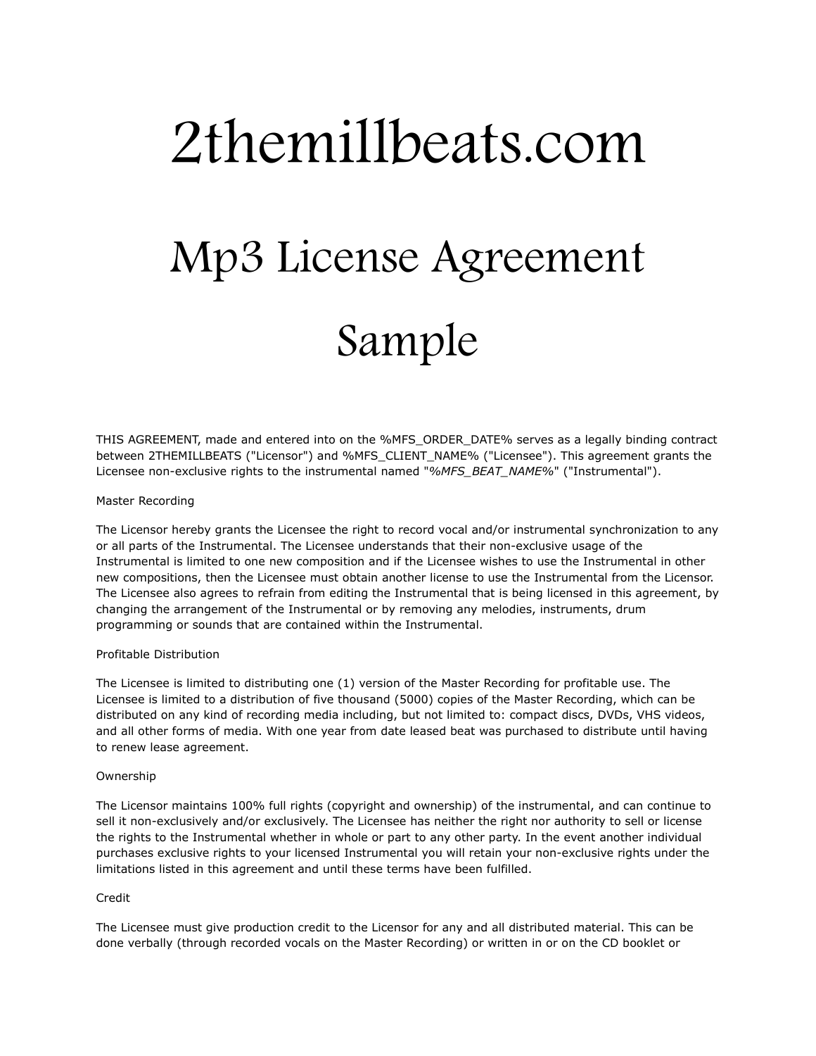# 2themillbeats.com Mp3 License Agreement Sample

THIS AGREEMENT, made and entered into on the %MFS\_ORDER\_DATE% serves as a legally binding contract between 2THEMILLBEATS ("Licensor") and %MFS\_CLIENT\_NAME% ("Licensee"). This agreement grants the Licensee non-exclusive rights to the instrumental named "*%MFS\_BEAT\_NAME%*" ("Instrumental").

# Master Recording

The Licensor hereby grants the Licensee the right to record vocal and/or instrumental synchronization to any or all parts of the Instrumental. The Licensee understands that their non-exclusive usage of the Instrumental is limited to one new composition and if the Licensee wishes to use the Instrumental in other new compositions, then the Licensee must obtain another license to use the Instrumental from the Licensor. The Licensee also agrees to refrain from editing the Instrumental that is being licensed in this agreement, by changing the arrangement of the Instrumental or by removing any melodies, instruments, drum programming or sounds that are contained within the Instrumental.

# Profitable Distribution

The Licensee is limited to distributing one (1) version of the Master Recording for profitable use. The Licensee is limited to a distribution of five thousand (5000) copies of the Master Recording, which can be distributed on any kind of recording media including, but not limited to: compact discs, DVDs, VHS videos, and all other forms of media. With one year from date leased beat was purchased to distribute until having to renew lease agreement.

## Ownership

The Licensor maintains 100% full rights (copyright and ownership) of the instrumental, and can continue to sell it non-exclusively and/or exclusively. The Licensee has neither the right nor authority to sell or license the rights to the Instrumental whether in whole or part to any other party. In the event another individual purchases exclusive rights to your licensed Instrumental you will retain your non-exclusive rights under the limitations listed in this agreement and until these terms have been fulfilled.

### Credit

The Licensee must give production credit to the Licensor for any and all distributed material. This can be done verbally (through recorded vocals on the Master Recording) or written in or on the CD booklet or